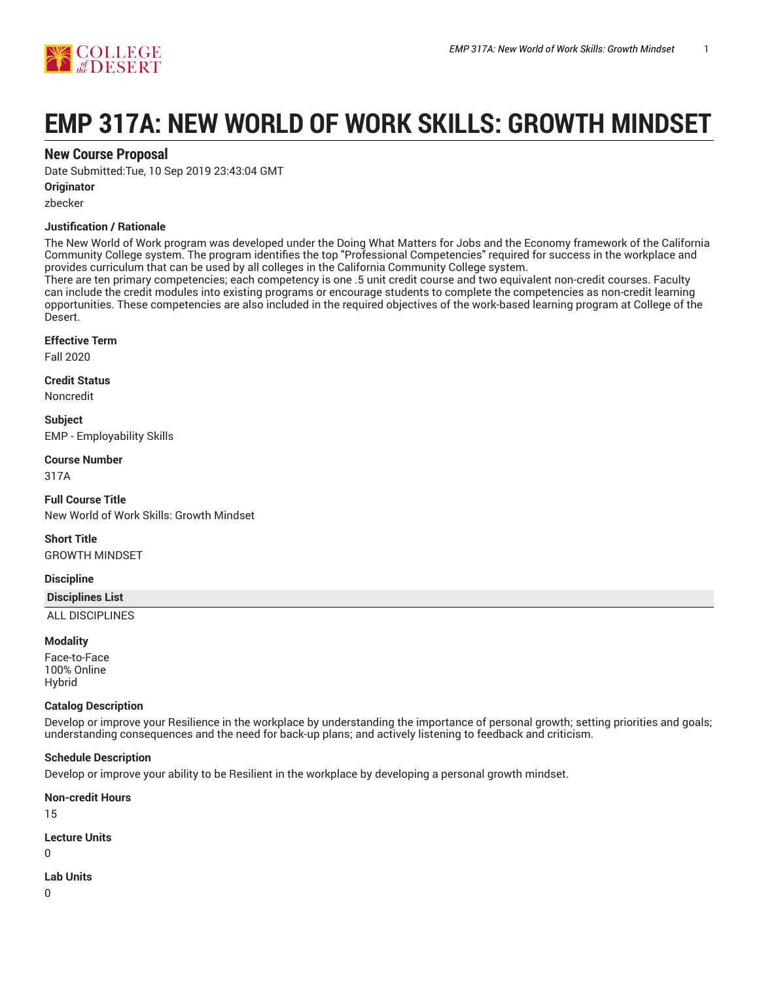

# **EMP 317A: NEW WORLD OF WORK SKILLS: GROWTH MINDSET**

# **New Course Proposal**

Date Submitted:Tue, 10 Sep 2019 23:43:04 GMT

# **Originator**

zbecker

# **Justification / Rationale**

The New World of Work program was developed under the Doing What Matters for Jobs and the Economy framework of the California Community College system. The program identifies the top "Professional Competencies" required for success in the workplace and provides curriculum that can be used by all colleges in the California Community College system.

There are ten primary competencies; each competency is one .5 unit credit course and two equivalent non-credit courses. Faculty can include the credit modules into existing programs or encourage students to complete the competencies as non-credit learning opportunities. These competencies are also included in the required objectives of the work-based learning program at College of the Desert.

# **Effective Term**

Fall 2020

#### **Credit Status**

Noncredit

**Subject** EMP - Employability Skills

# **Course Number**

317A

**Full Course Title** New World of Work Skills: Growth Mindset

**Short Title** GROWTH MINDSET

# **Discipline**

# **Disciplines List**

ALL DISCIPLINES

# **Modality**

Face-to-Face 100% Online Hybrid

# **Catalog Description**

Develop or improve your Resilience in the workplace by understanding the importance of personal growth; setting priorities and goals; understanding consequences and the need for back-up plans; and actively listening to feedback and criticism.

# **Schedule Description**

Develop or improve your ability to be Resilient in the workplace by developing a personal growth mindset.

**Non-credit Hours**

15

**Lecture Units**

 $\Omega$ 

**Lab Units**

0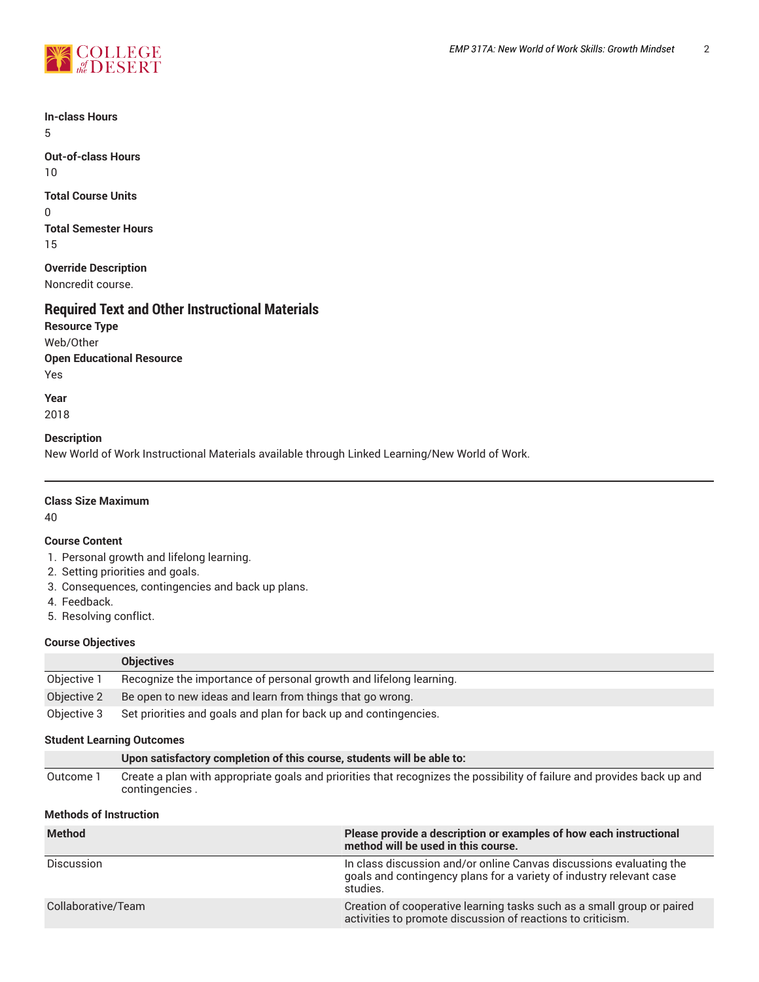

**In-class Hours** 5

**Out-of-class Hours** 10

**Total Course Units** 0 **Total Semester Hours** 15

**Override Description** Noncredit course.

# **Required Text and Other Instructional Materials**

**Resource Type** Web/Other **Open Educational Resource** Yes

**Year** 2018

# **Description**

New World of Work Instructional Materials available through Linked Learning/New World of Work.

# **Class Size Maximum**

40

# **Course Content**

- 1. Personal growth and lifelong learning.
- 2. Setting priorities and goals.
- 3. Consequences, contingencies and back up plans.
- 4. Feedback.
- 5. Resolving conflict.

# **Course Objectives**

|             | <b>Objectives</b>                                                  |
|-------------|--------------------------------------------------------------------|
| Objective 1 | Recognize the importance of personal growth and lifelong learning. |
| Objective 2 | Be open to new ideas and learn from things that go wrong.          |
| Objective 3 | Set priorities and goals and plan for back up and contingencies.   |

# **Student Learning Outcomes**

|           | Upon satisfactory completion of this course, students will be able to:                                                                    |
|-----------|-------------------------------------------------------------------------------------------------------------------------------------------|
| Outcome 1 | Create a plan with appropriate goals and priorities that recognizes the possibility of failure and provides back up and<br>contingencies. |

# **Methods of Instruction**

| <b>Method</b>      | Please provide a description or examples of how each instructional<br>method will be used in this course.                                              |
|--------------------|--------------------------------------------------------------------------------------------------------------------------------------------------------|
| Discussion         | In class discussion and/or online Canvas discussions evaluating the<br>goals and contingency plans for a variety of industry relevant case<br>studies. |
| Collaborative/Team | Creation of cooperative learning tasks such as a small group or paired<br>activities to promote discussion of reactions to criticism.                  |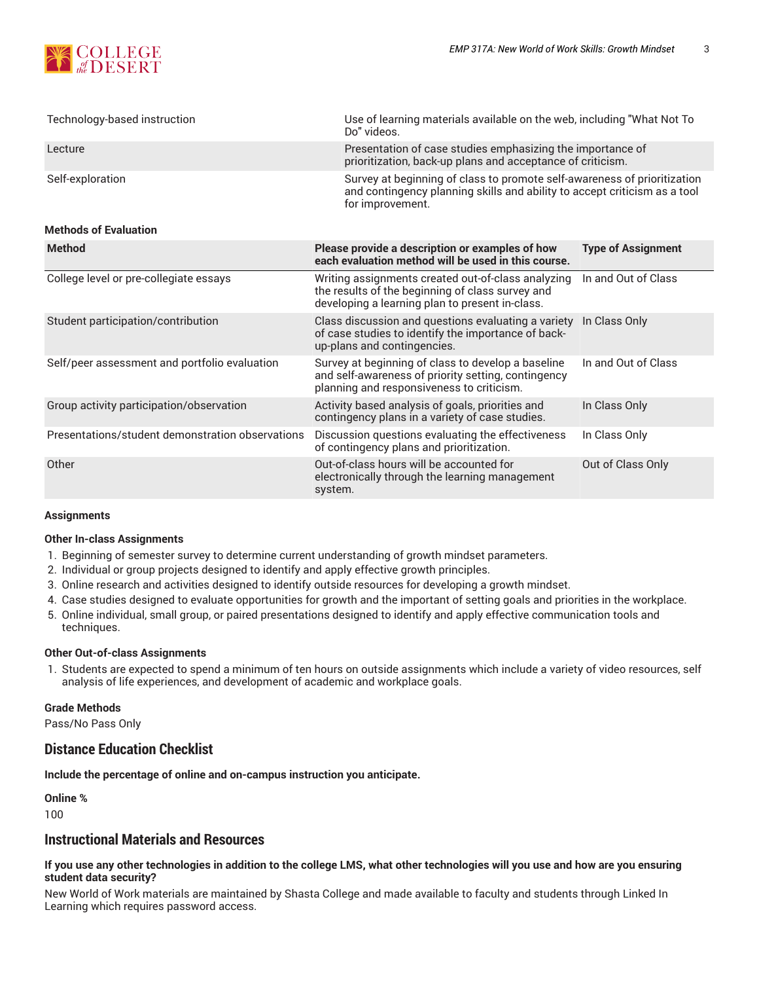

| Technology-based instruction                     | Use of learning materials available on the web, including "What Not To<br>Do" videos.                                                                                     |                           |
|--------------------------------------------------|---------------------------------------------------------------------------------------------------------------------------------------------------------------------------|---------------------------|
| Lecture                                          | Presentation of case studies emphasizing the importance of<br>prioritization, back-up plans and acceptance of criticism.                                                  |                           |
| Self-exploration<br><b>Methods of Evaluation</b> | Survey at beginning of class to promote self-awareness of prioritization<br>and contingency planning skills and ability to accept criticism as a tool<br>for improvement. |                           |
| <b>Method</b>                                    |                                                                                                                                                                           |                           |
|                                                  | Please provide a description or examples of how<br>each evaluation method will be used in this course.                                                                    | <b>Type of Assignment</b> |
| College level or pre-collegiate essays           | Writing assignments created out-of-class analyzing<br>the results of the beginning of class survey and<br>developing a learning plan to present in-class.                 | In and Out of Class       |
| Student participation/contribution               | Class discussion and questions evaluating a variety In Class Only                                                                                                         |                           |

|                                                  | developing a learning plan to present in-class.                                                                                                        |                     |
|--------------------------------------------------|--------------------------------------------------------------------------------------------------------------------------------------------------------|---------------------|
| Student participation/contribution               | Class discussion and questions evaluating a variety<br>of case studies to identify the importance of back-<br>up-plans and contingencies.              | In Class Only       |
| Self/peer assessment and portfolio evaluation    | Survey at beginning of class to develop a baseline<br>and self-awareness of priority setting, contingency<br>planning and responsiveness to criticism. | In and Out of Class |
| Group activity participation/observation         | Activity based analysis of goals, priorities and<br>contingency plans in a variety of case studies.                                                    | In Class Only       |
| Presentations/student demonstration observations | Discussion questions evaluating the effectiveness<br>of contingency plans and prioritization.                                                          | In Class Only       |
| Other                                            | Out-of-class hours will be accounted for<br>electronically through the learning management<br>system.                                                  | Out of Class Only   |
|                                                  |                                                                                                                                                        |                     |

#### **Assignments**

# **Other In-class Assignments**

- 1. Beginning of semester survey to determine current understanding of growth mindset parameters.
- 2. Individual or group projects designed to identify and apply effective growth principles.
- 3. Online research and activities designed to identify outside resources for developing a growth mindset.
- 4. Case studies designed to evaluate opportunities for growth and the important of setting goals and priorities in the workplace.
- 5. Online individual, small group, or paired presentations designed to identify and apply effective communication tools and techniques.

#### **Other Out-of-class Assignments**

1. Students are expected to spend a minimum of ten hours on outside assignments which include a variety of video resources, self analysis of life experiences, and development of academic and workplace goals.

# **Grade Methods**

Pass/No Pass Only

# **Distance Education Checklist**

**Include the percentage of online and on-campus instruction you anticipate.**

**Online %** 100

# **Instructional Materials and Resources**

# If you use any other technologies in addition to the college LMS, what other technologies will you use and how are you ensuring **student data security?**

New World of Work materials are maintained by Shasta College and made available to faculty and students through Linked In Learning which requires password access.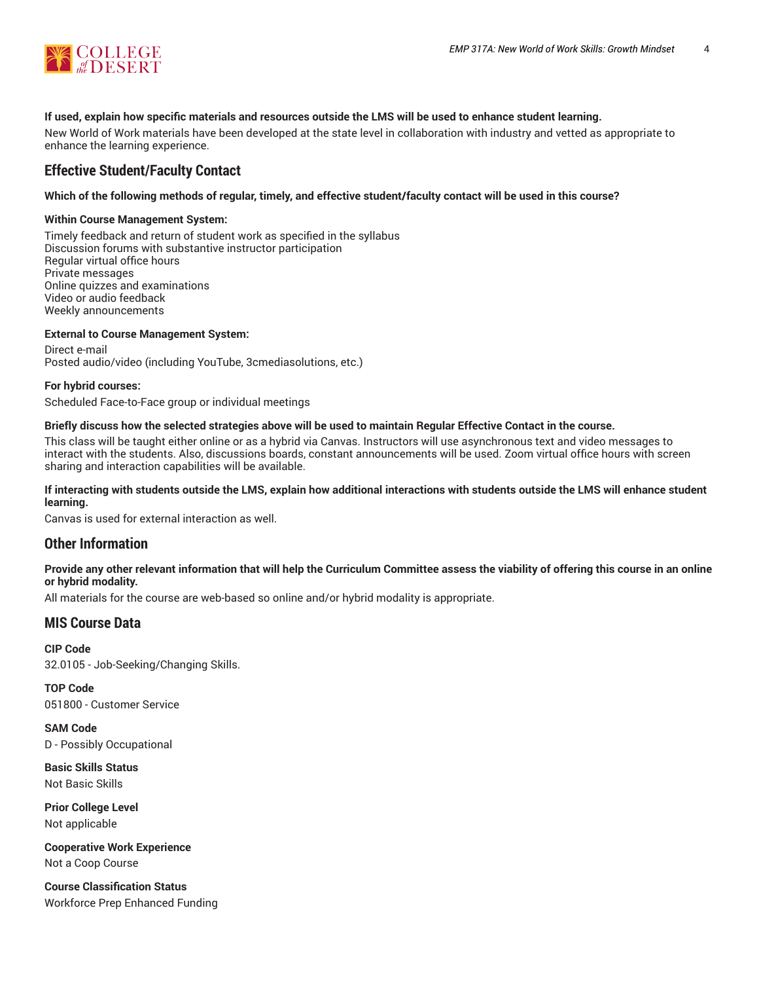

# **If used, explain how specific materials and resources outside the LMS will be used to enhance student learning.**

New World of Work materials have been developed at the state level in collaboration with industry and vetted as appropriate to enhance the learning experience.

# **Effective Student/Faculty Contact**

# Which of the following methods of regular, timely, and effective student/faculty contact will be used in this course?

# **Within Course Management System:**

Timely feedback and return of student work as specified in the syllabus Discussion forums with substantive instructor participation Regular virtual office hours Private messages Online quizzes and examinations Video or audio feedback Weekly announcements

# **External to Course Management System:**

Direct e-mail Posted audio/video (including YouTube, 3cmediasolutions, etc.)

#### **For hybrid courses:**

Scheduled Face-to-Face group or individual meetings

### Briefly discuss how the selected strategies above will be used to maintain Regular Effective Contact in the course.

This class will be taught either online or as a hybrid via Canvas. Instructors will use asynchronous text and video messages to interact with the students. Also, discussions boards, constant announcements will be used. Zoom virtual office hours with screen sharing and interaction capabilities will be available.

# **If interacting with students outside the LMS, explain how additional interactions with students outside the LMS will enhance student learning.**

Canvas is used for external interaction as well.

# **Other Information**

# Provide any other relevant information that will help the Curriculum Committee assess the viability of offering this course in an online **or hybrid modality.**

All materials for the course are web-based so online and/or hybrid modality is appropriate.

# **MIS Course Data**

**CIP Code** 32.0105 - Job-Seeking/Changing Skills.

**TOP Code** 051800 - Customer Service

**SAM Code** D - Possibly Occupational

**Basic Skills Status** Not Basic Skills

**Prior College Level** Not applicable

**Cooperative Work Experience** Not a Coop Course

**Course Classification Status** Workforce Prep Enhanced Funding